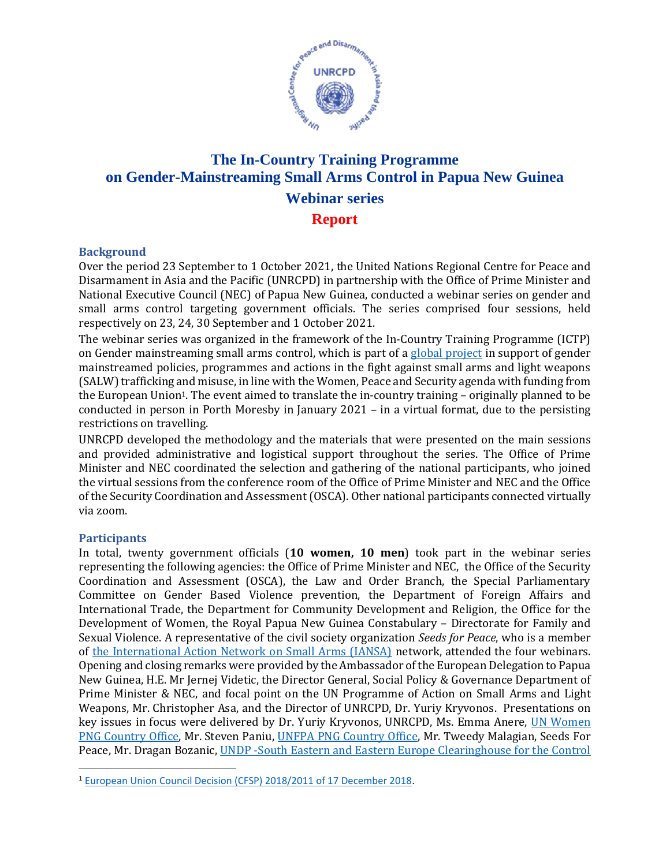

### **The In-Country Training Programme on Gender-Mainstreaming Small Arms Control in Papua New Guinea Webinar series Report**

#### **Background**

Over the period 23 September to 1 October 2021, the United Nations Regional Centre for Peace and Disarmament in Asia and the Pacific (UNRCPD) in partnership with the Office of Prime Minister and National Executive Council (NEC) of Papua New Guinea, conducted a webinar series on gender and small arms control targeting government officials. The series comprised four sessions, held respectively on 23, 24, 30 September and 1 October 2021.

The webinar series was organized in the framework of the In-Country Training Programme (ICTP) on Gender mainstreaming small arms control, which is part of [a global project](https://www.un.org/disarmament/gender-and-small-arms-control/) in support of gender mainstreamed policies, programmes and actions in the fight against small arms and light weapons (SALW) trafficking and misuse, in line with the Women, Peace and Security agenda with funding from the European Union<sup>1</sup>. The event aimed to translate the in-country training – originally planned to be conducted in person in Porth Moresby in January 2021 – in a virtual format, due to the persisting restrictions on travelling.

UNRCPD developed the methodology and the materials that were presented on the main sessions and provided administrative and logistical support throughout the series. The Office of Prime Minister and NEC coordinated the selection and gathering of the national participants, who joined the virtual sessions from the conference room of the Office of Prime Minister and NEC and the Office of the Security Coordination and Assessment (OSCA). Other national participants connected virtually via zoom.

#### **Participants**

In total, twenty government officials (**10 women, 10 men**) took part in the webinar series representing the following agencies: the Office of Prime Minister and NEC, the Office of the Security Coordination and Assessment (OSCA), the Law and Order Branch, the Special Parliamentary Committee on Gender Based Violence prevention, the Department of Foreign Affairs and International Trade, the Department for Community Development and Religion, the Office for the Development of Women, the Royal Papua New Guinea Constabulary – Directorate for Family and Sexual Violence. A representative of the civil society organization *Seeds for Peace*, who is a member of [the International Action Network on Small Arms \(IANSA\)](https://iansa.org/) network, attended the four webinars. Opening and closing remarks were provided by the Ambassador of the European Delegation to Papua New Guinea, H.E. Mr Jernej Videtic, the Director General, Social Policy & Governance Department of Prime Minister & NEC, and focal point on the UN Programme of Action on Small Arms and Light Weapons, Mr. Christopher Asa, and the Director of UNRCPD, Dr. Yuriy Kryvonos. Presentations on key issues in focus were delivered by Dr. Yuriy Kryvonos, UNRCPD, Ms. Emma Anere, [UN Women](https://asiapacific.unwomen.org/en/countries/png#:~:text=UN%20Women%20Papua%20New%20Guinea%20Papua%20New%20Guinea,committed%20to%20working%20together%20%E2%80%93%20and%20UN%20) [PNG Country Office,](https://asiapacific.unwomen.org/en/countries/png#:~:text=UN%20Women%20Papua%20New%20Guinea%20Papua%20New%20Guinea,committed%20to%20working%20together%20%E2%80%93%20and%20UN%20) Mr. Steven Paniu, [UNFPA PNG Country Office,](https://png.unfpa.org/) Mr. Tweedy Malagian, Seeds For Peace, Mr. Dragan Bozanic, [UNDP -South Eastern and Eastern Europe Clearinghouse for the Control](https://www.seesac.org/) 

<sup>1</sup> [European Union Council Decision \(CFSP\) 2018/2011 of 17 December 2018.](https://eur-lex.europa.eu/legal-content/EN/TXT/PDF/?uri=CELEX:32018D2011)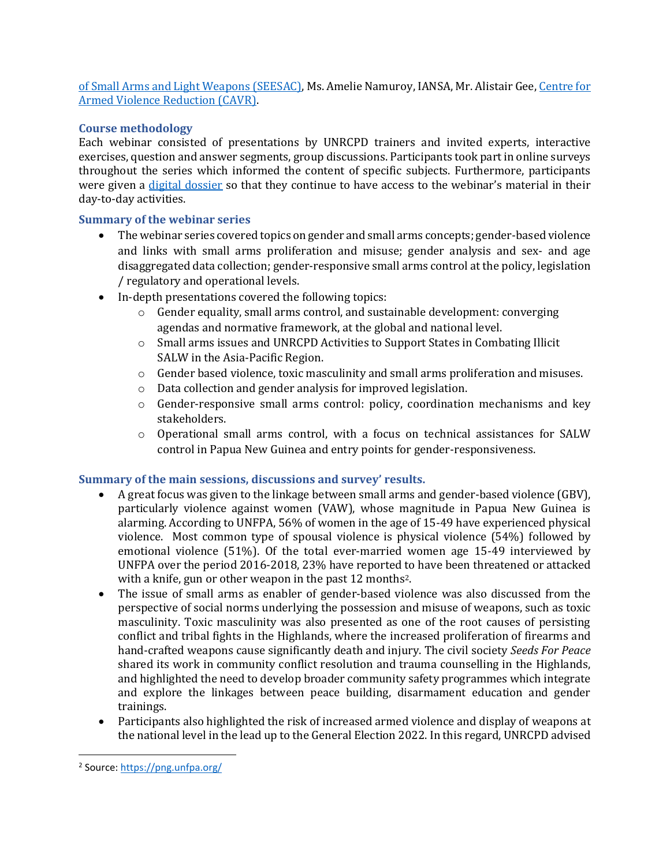[of Small Arms and Light Weapons \(SEESAC\),](https://www.seesac.org/) Ms. Amelie Namuroy, IANSA, Mr. Alistair Gee, [Centre for](https://armedviolencereduction.org/)  [Armed Violence Reduction \(CAVR\).](https://armedviolencereduction.org/) 

#### **Course methodology**

Each webinar consisted of presentations by UNRCPD trainers and invited experts, interactive exercises, question and answer segments, group discussions. Participants took part in online surveys throughout the series which informed the content of specific subjects. Furthermore, participants were given a [digital dossier](https://www.dropbox.com/sh/ikvc9k5dsdrmx0t/AAAc-pfKxaS79egk5xXqpVdVa?dl=0) so that they continue to have access to the webinar's material in their day-to-day activities.

#### **Summary of the webinar series**

- The webinar series covered topics on gender and small arms concepts; gender-based violence and links with small arms proliferation and misuse; gender analysis and sex- and age disaggregated data collection; gender-responsive small arms control at the policy, legislation / regulatory and operational levels.
- In-depth presentations covered the following topics:
	- o Gender equality, small arms control, and sustainable development: converging agendas and normative framework, at the global and national level.
	- o Small arms issues and UNRCPD Activities to Support States in Combating Illicit SALW in the Asia-Pacific Region.
	- o Gender based violence, toxic masculinity and small arms proliferation and misuses.
	- o Data collection and gender analysis for improved legislation.
	- o Gender-responsive small arms control: policy, coordination mechanisms and key stakeholders.
	- o Operational small arms control, with a focus on technical assistances for SALW control in Papua New Guinea and entry points for gender-responsiveness.

#### **Summary of the main sessions, discussions and survey' results.**

- A great focus was given to the linkage between small arms and gender-based violence (GBV), particularly violence against women (VAW), whose magnitude in Papua New Guinea is alarming. According to UNFPA, 56% of women in the age of 15-49 have experienced physical violence. Most common type of spousal violence is physical violence (54%) followed by emotional violence (51%). Of the total ever-married women age 15-49 interviewed by UNFPA over the period 2016-2018, 23% have reported to have been threatened or attacked with a knife, gun or other weapon in the past 12 months<sup>2</sup>.
- The issue of small arms as enabler of gender-based violence was also discussed from the perspective of social norms underlying the possession and misuse of weapons, such as toxic masculinity. Toxic masculinity was also presented as one of the root causes of persisting conflict and tribal fights in the Highlands, where the increased proliferation of firearms and hand-crafted weapons cause significantly death and injury. The civil society *Seeds For Peace*  shared its work in community conflict resolution and trauma counselling in the Highlands, and highlighted the need to develop broader community safety programmes which integrate and explore the linkages between peace building, disarmament education and gender trainings.
- Participants also highlighted the risk of increased armed violence and display of weapons at the national level in the lead up to the General Election 2022. In this regard, UNRCPD advised

<sup>&</sup>lt;sup>2</sup> Source: <u>https://png.unfpa.org/</u>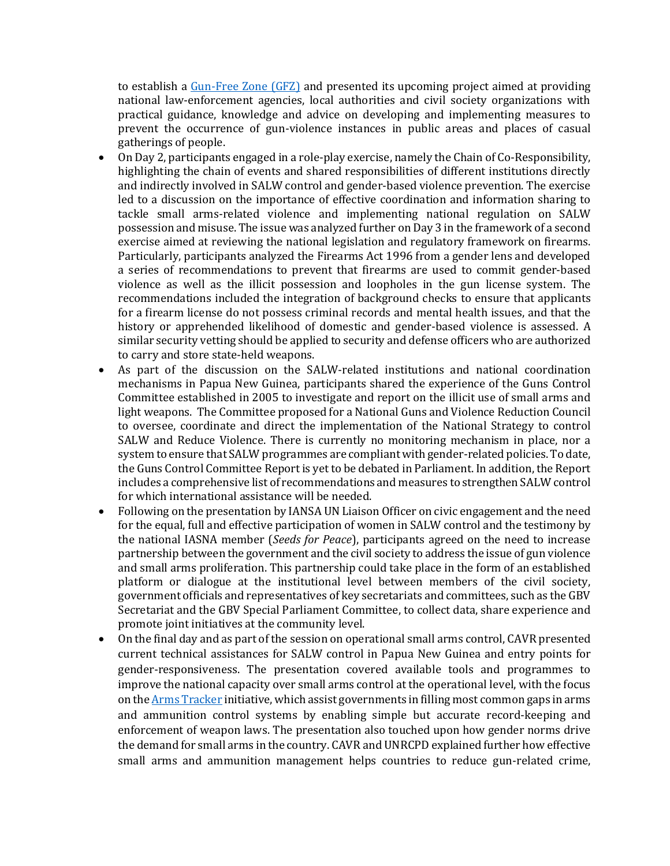to establish a [Gun-Free Zone \(GFZ\)](https://www.un.org/disarmament/publications/more/gfz-guidelines/) and presented its upcoming project aimed at providing national law-enforcement agencies, local authorities and civil society organizations with practical guidance, knowledge and advice on developing and implementing measures to prevent the occurrence of gun-violence instances in public areas and places of casual gatherings of people.

- On Day 2, participants engaged in a role-play exercise, namely the Chain of Co-Responsibility, highlighting the chain of events and shared responsibilities of different institutions directly and indirectly involved in SALW control and gender-based violence prevention. The exercise led to a discussion on the importance of effective coordination and information sharing to tackle small arms-related violence and implementing national regulation on SALW possession and misuse. The issue was analyzed further on Day 3 in the framework of a second exercise aimed at reviewing the national legislation and regulatory framework on firearms. Particularly, participants analyzed the Firearms Act 1996 from a gender lens and developed a series of recommendations to prevent that firearms are used to commit gender-based violence as well as the illicit possession and loopholes in the gun license system. The recommendations included the integration of background checks to ensure that applicants for a firearm license do not possess criminal records and mental health issues, and that the history or apprehended likelihood of domestic and gender-based violence is assessed. A similar security vetting should be applied to security and defense officers who are authorized to carry and store state-held weapons.
- As part of the discussion on the SALW-related institutions and national coordination mechanisms in Papua New Guinea, participants shared the experience of the Guns Control Committee established in 2005 to investigate and report on the illicit use of small arms and light weapons. The Committee proposed for a National Guns and Violence Reduction Council to oversee, coordinate and direct the implementation of the National Strategy to control SALW and Reduce Violence. There is currently no monitoring mechanism in place, nor a system to ensure that SALW programmes are compliant with gender-related policies. To date, the Guns Control Committee Report is yet to be debated in Parliament. In addition, the Report includes a comprehensive list of recommendations and measures to strengthen SALW control for which international assistance will be needed.
- Following on the presentation by IANSA UN Liaison Officer on civic engagement and the need for the equal, full and effective participation of women in SALW control and the testimony by the national IASNA member (*Seeds for Peace*), participants agreed on the need to increase partnership between the government and the civil society to address the issue of gun violence and small arms proliferation. This partnership could take place in the form of an established platform or dialogue at the institutional level between members of the civil society, government officials and representatives of key secretariats and committees, such as the GBV Secretariat and the GBV Special Parliament Committee, to collect data, share experience and promote joint initiatives at the community level.
- On the final day and as part of the session on operational small arms control, CAVR presented current technical assistances for SALW control in Papua New Guinea and entry points for gender-responsiveness. The presentation covered available tools and programmes to improve the national capacity over small arms control at the operational level, with the focus on th[e Arms Tracker](https://armstracker.org/) initiative, which assist governments in filling most common gaps in arms and ammunition control systems by enabling simple but accurate record-keeping and enforcement of weapon laws. The presentation also touched upon how gender norms drive the demand for small arms in the country. CAVR and UNRCPD explained further how effective small arms and ammunition management helps countries to reduce gun-related crime,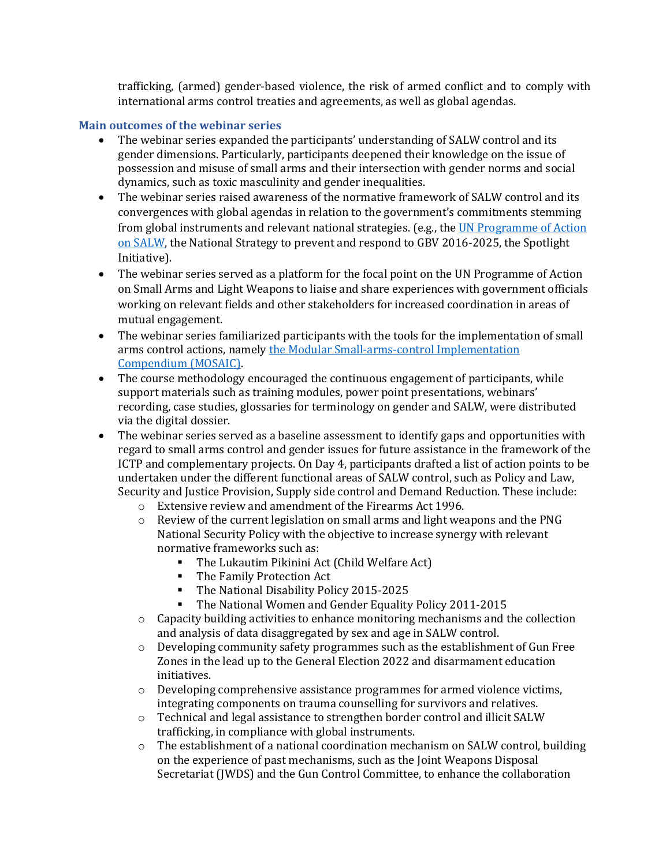trafficking, (armed) gender-based violence, the risk of armed conflict and to comply with international arms control treaties and agreements, as well as global agendas.

#### **Main outcomes of the webinar series**

- The webinar series expanded the participants' understanding of SALW control and its gender dimensions. Particularly, participants deepened their knowledge on the issue of possession and misuse of small arms and their intersection with gender norms and social dynamics, such as toxic masculinity and gender inequalities.
- The webinar series raised awareness of the normative framework of SALW control and its convergences with global agendas in relation to the government's commitments stemming from global instruments and relevant national strategies. (e.g., th[e UN Programme of Action](https://www.un.org/disarmament/convarms/salw/programme-of-action/) [on SALW,](https://www.un.org/disarmament/convarms/salw/programme-of-action/) the National Strategy to prevent and respond to GBV 2016-2025, the Spotlight Initiative).
- The webinar series served as a platform for the focal point on the UN Programme of Action on Small Arms and Light Weapons to liaise and share experiences with government officials working on relevant fields and other stakeholders for increased coordination in areas of mutual engagement.
- The webinar series familiarized participants with the tools for the implementation of small arms control actions, namely [the Modular Small-arms-control Implementation](https://www.un.org/disarmament/convarms/mosaic/)  [Compendium \(MOSAIC\).](https://www.un.org/disarmament/convarms/mosaic/)
- The course methodology encouraged the continuous engagement of participants, while support materials such as training modules, power point presentations, webinars' recording, case studies, glossaries for terminology on gender and SALW, were distributed via the digital dossier.
- The webinar series served as a baseline assessment to identify gaps and opportunities with regard to small arms control and gender issues for future assistance in the framework of the ICTP and complementary projects. On Day 4, participants drafted a list of action points to be undertaken under the different functional areas of SALW control, such as Policy and Law, Security and Justice Provision, Supply side control and Demand Reduction. These include:
	- o Extensive review and amendment of the Firearms Act 1996.
	- $\circ$  Review of the current legislation on small arms and light weapons and the PNG National Security Policy with the objective to increase synergy with relevant normative frameworks such as:
		- The Lukautim Pikinini Act (Child Welfare Act)
		- The Family Protection Act
		- The National Disability Policy 2015-2025
		- The National Women and Gender Equality Policy 2011-2015
	- $\circ$  Capacity building activities to enhance monitoring mechanisms and the collection and analysis of data disaggregated by sex and age in SALW control.
	- $\circ$  Developing community safety programmes such as the establishment of Gun Free Zones in the lead up to the General Election 2022 and disarmament education initiatives.
	- $\circ$  Developing comprehensive assistance programmes for armed violence victims, integrating components on trauma counselling for survivors and relatives.
	- o Technical and legal assistance to strengthen border control and illicit SALW trafficking, in compliance with global instruments.
	- o The establishment of a national coordination mechanism on SALW control, building on the experience of past mechanisms, such as the Joint Weapons Disposal Secretariat (JWDS) and the Gun Control Committee, to enhance the collaboration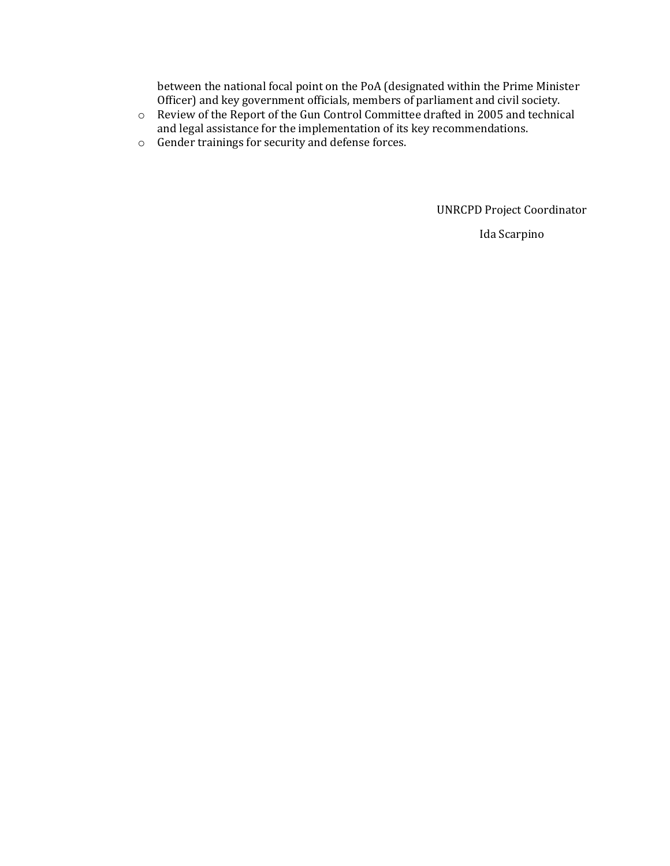between the national focal point on the PoA (designated within the Prime Minister Officer) and key government officials, members of parliament and civil society.

- o Review of the Report of the Gun Control Committee drafted in 2005 and technical and legal assistance for the implementation of its key recommendations.
- o Gender trainings for security and defense forces.

UNRCPD Project Coordinator

Ida Scarpino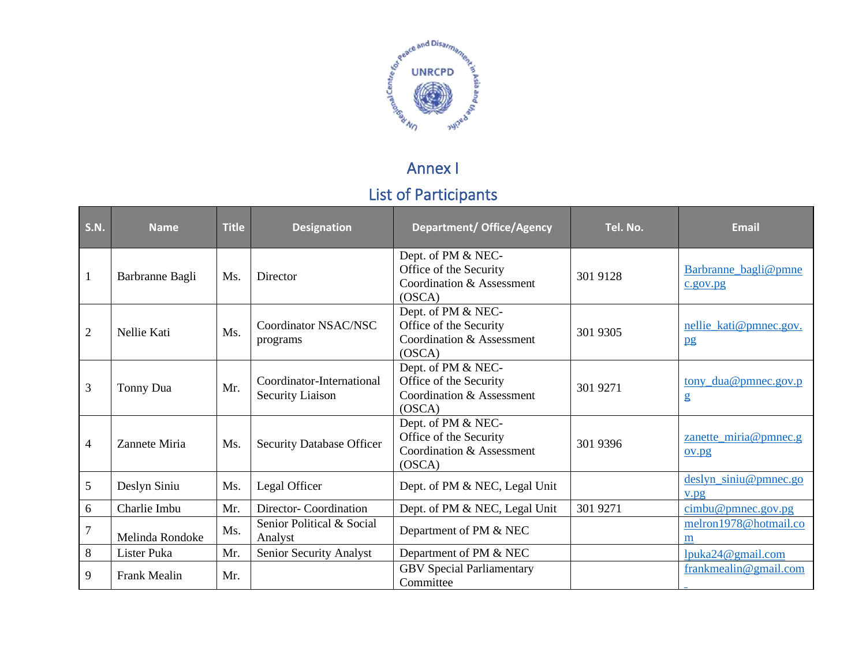

# Annex I List of Participants

| <b>S.N.</b>    | <b>Name</b>     | <b>Title</b> | <b>Designation</b>                                   | <b>Department/ Office/Agency</b>                                                    | Tel. No. | <b>Email</b>                     |
|----------------|-----------------|--------------|------------------------------------------------------|-------------------------------------------------------------------------------------|----------|----------------------------------|
| $\mathbf{1}$   | Barbranne Bagli | Ms.          | Director                                             | Dept. of PM & NEC-<br>Office of the Security<br>Coordination & Assessment<br>(OSCA) | 301 9128 | Barbranne_bagli@pmne<br>c.gov.py |
| $\overline{2}$ | Nellie Kati     | Ms.          | Coordinator NSAC/NSC<br>programs                     | Dept. of PM & NEC-<br>Office of the Security<br>Coordination & Assessment<br>(OSCA) | 301 9305 | nellie_kati@pmnec.gov.<br>pg     |
| 3              | Tonny Dua       | Mr.          | Coordinator-International<br><b>Security Liaison</b> | Dept. of PM & NEC-<br>Office of the Security<br>Coordination & Assessment<br>(OSCA) | 301 9271 | tony_dua@pmnec.gov.p<br>g        |
| $\overline{4}$ | Zannete Miria   | Ms.          | <b>Security Database Officer</b>                     | Dept. of PM & NEC-<br>Office of the Security<br>Coordination & Assessment<br>(OSCA) | 301 9396 | zanette_miria@pmnec.g<br>ov.pg   |
| 5              | Deslyn Siniu    | Ms.          | Legal Officer                                        | Dept. of PM & NEC, Legal Unit                                                       |          | deslyn_siniu@pmnec.go<br>V.DQ    |
| 6              | Charlie Imbu    | Mr.          | Director-Coordination                                | Dept. of PM & NEC, Legal Unit                                                       | 301 9271 | cimbu@pmnec.gov.pg               |
| $\overline{7}$ | Melinda Rondoke | Ms.          | Senior Political & Social<br>Analyst                 | Department of PM & NEC                                                              |          | melron1978@hotmail.co<br>m       |
| $8\,$          | Lister Puka     | Mr.          | Senior Security Analyst                              | Department of PM & NEC                                                              |          | lpuka24@gmail.com                |
| 9              | Frank Mealin    | Mr.          |                                                      | <b>GBV</b> Special Parliamentary<br>Committee                                       |          | frankmealin@gmail.com            |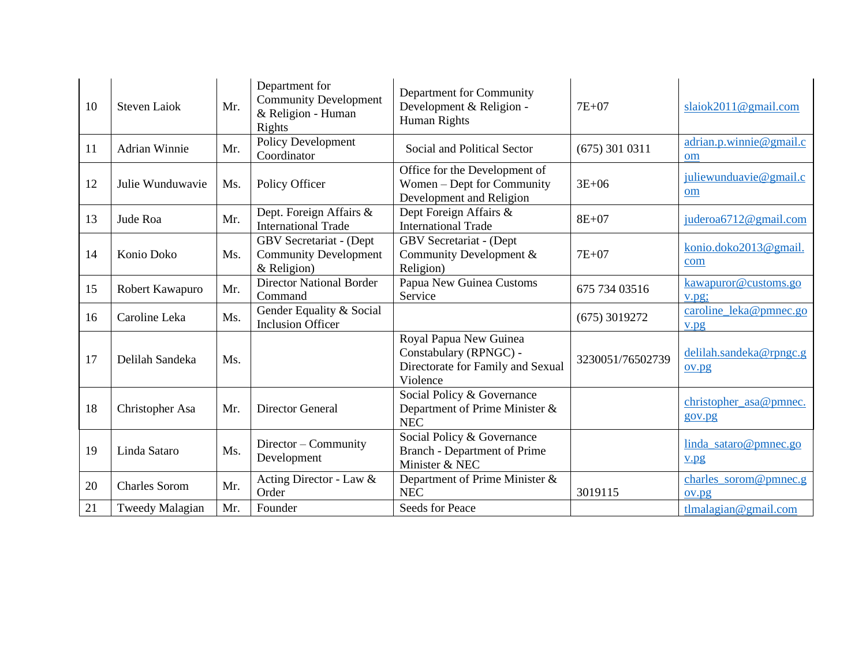| 10 | <b>Steven Laiok</b>  | Mr. | Department for<br><b>Community Development</b><br>& Religion - Human<br>Rights | Department for Community<br>Development & Religion -<br>Human Rights                              | $7E+07$          | slaiok $2011@$ gmail.com         |
|----|----------------------|-----|--------------------------------------------------------------------------------|---------------------------------------------------------------------------------------------------|------------------|----------------------------------|
| 11 | <b>Adrian Winnie</b> | Mr. | Policy Development<br>Coordinator                                              | Social and Political Sector                                                                       | $(675)$ 301 0311 | adrian.p.winnie@gmail.c<br>om    |
| 12 | Julie Wunduwavie     | Ms. | Policy Officer                                                                 | Office for the Development of<br>Women – Dept for Community<br>Development and Religion           | $3E + 06$        | juliewunduavie@gmail.c<br>om     |
| 13 | Jude Roa             | Mr. | Dept. Foreign Affairs &<br><b>International Trade</b>                          | Dept Foreign Affairs &<br><b>International Trade</b>                                              | $8E + 07$        | juderoa6712@gmail.com            |
| 14 | Konio Doko           | Ms. | GBV Secretariat - (Dept<br><b>Community Development</b><br>$&$ Religion)       | GBV Secretariat - (Dept<br>Community Development &<br>Religion)                                   | $7E+07$          | konio.doko2013@gmail.<br>com     |
| 15 | Robert Kawapuro      | Mr. | <b>Director National Border</b><br>Command                                     | Papua New Guinea Customs<br>Service                                                               | 675 734 03516    | kawapuror@customs.go<br>v.pg;    |
| 16 | Caroline Leka        | Ms. | Gender Equality & Social<br><b>Inclusion Officer</b>                           |                                                                                                   | $(675)$ 3019272  | caroline_leka@pmnec.go<br>v.pg   |
| 17 | Delilah Sandeka      | Ms. |                                                                                | Royal Papua New Guinea<br>Constabulary (RPNGC) -<br>Directorate for Family and Sexual<br>Violence | 3230051/76502739 | delilah.sandeka@rpngc.g<br>ov.pg |
| 18 | Christopher Asa      | Mr. | <b>Director General</b>                                                        | Social Policy & Governance<br>Department of Prime Minister &<br><b>NEC</b>                        |                  | christopher_asa@pmnec.<br>gov.pg |
| 19 | Linda Sataro         | Ms. | Director – Community<br>Development                                            | Social Policy & Governance<br><b>Branch - Department of Prime</b><br>Minister & NEC               |                  | linda_sataro@pmnec.go<br>V.pg    |
| 20 | <b>Charles Sorom</b> | Mr. | Acting Director - Law $&$<br>Order                                             | Department of Prime Minister &<br><b>NEC</b>                                                      | 3019115          | charles_sorom@pmnec.g<br>ov.pg   |
| 21 | Tweedy Malagian      | Mr. | Founder                                                                        | Seeds for Peace                                                                                   |                  | $t$ lmalagian@gmail.com          |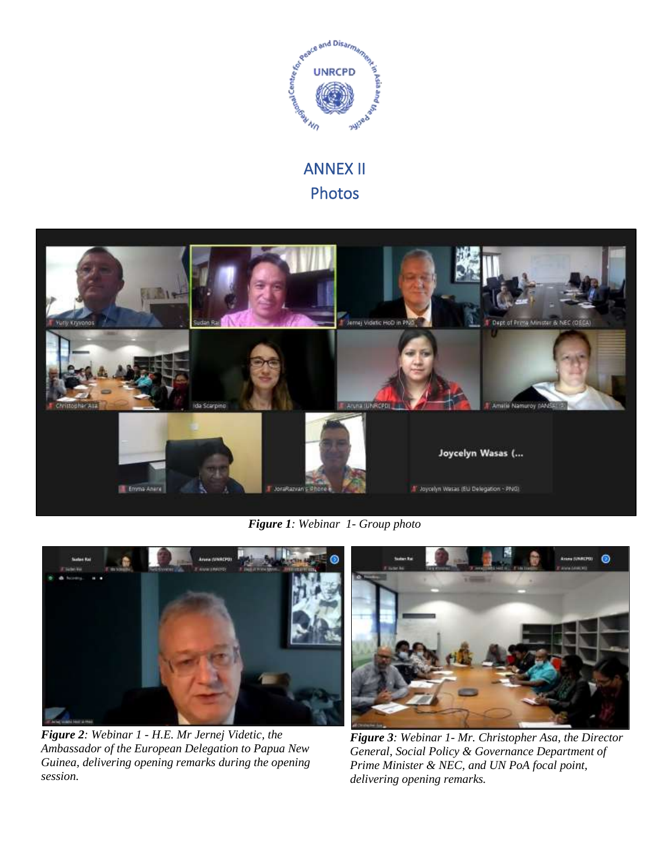

## ANNEX II Photos



*Figure 1: Webinar 1- Group photo*



*Figure 2: Webinar 1 - H.E. Mr Jernej Videtic, the Ambassador of the European Delegation to Papua New Guinea, delivering opening remarks during the opening session.* 



*Figure 3: Webinar 1- Mr. Christopher Asa, the Director General, Social Policy & Governance Department of Prime Minister & NEC, and UN PoA focal point, delivering opening remarks.*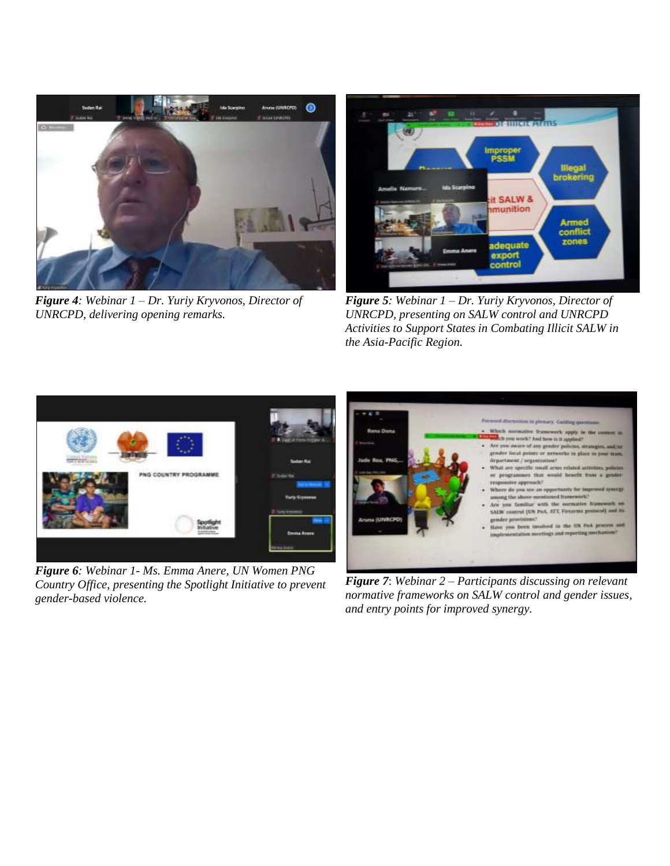

*Figure 4: Webinar 1 – Dr. Yuriy Kryvonos, Director of UNRCPD, delivering opening remarks.* 



*Figure 5: Webinar 1 – Dr. Yuriy Kryvonos, Director of UNRCPD, presenting on SALW control and UNRCPD Activities to Support States in Combating Illicit SALW in the Asia-Pacific Region.*



*Figure 6: Webinar 1- Ms. Emma Anere, UN Women PNG Country Office, presenting the Spotlight Initiative to prevent gender-based violence.* 



*Figure 7*: *Webinar 2 – Participants discussing on relevant normative frameworks on SALW control and gender issues, and entry points for improved synergy.*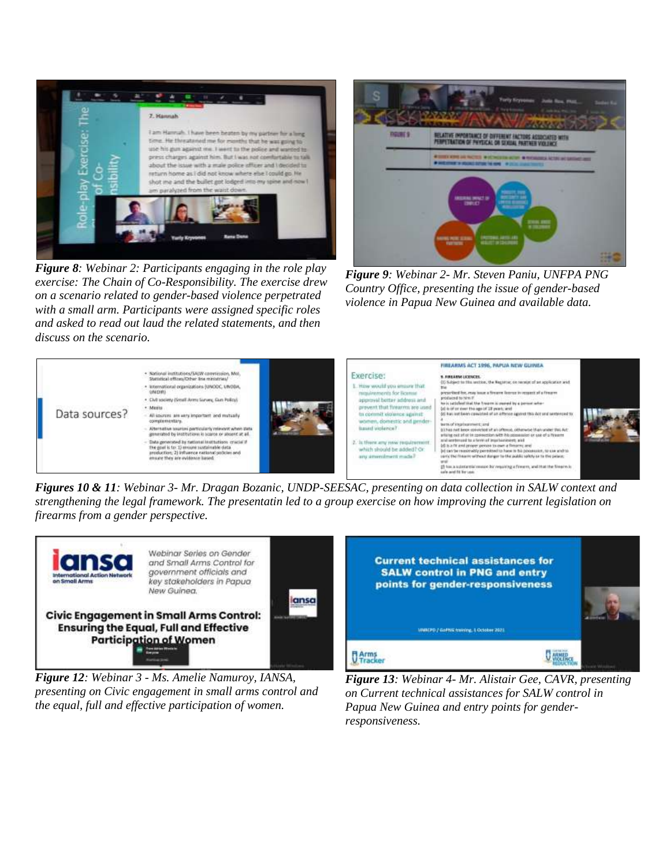

*Figure 8: Webinar 2: Participants engaging in the role play exercise: The Chain of Co-Responsibility. The exercise drew on a scenario related to gender-based violence perpetrated with a small arm. Participants were assigned specific roles and asked to read out laud the related statements, and then discuss on the scenario.*



*Figure 9: Webinar 2- Mr. Steven Paniu, UNFPA PNG Country Office, presenting the issue of gender-based violence in Papua New Guinea and available data.*



*Figures 10 & 11: Webinar 3- Mr. Dragan Bozanic, UNDP-SEESAC, presenting on data collection in SALW context and strengthening the legal framework. The presentatin led to a group exercise on how improving the current legislation on firearms from a gender perspective.* 



*Figure 12: Webinar 3 - Ms. Amelie Namuroy, IANSA, presenting on Civic engagement in small arms control and the equal, full and effective participation of women.* 



*Figure 13: Webinar 4- Mr. Alistair Gee, CAVR, presenting on Current technical assistances for SALW control in Papua New Guinea and entry points for genderresponsiveness.*